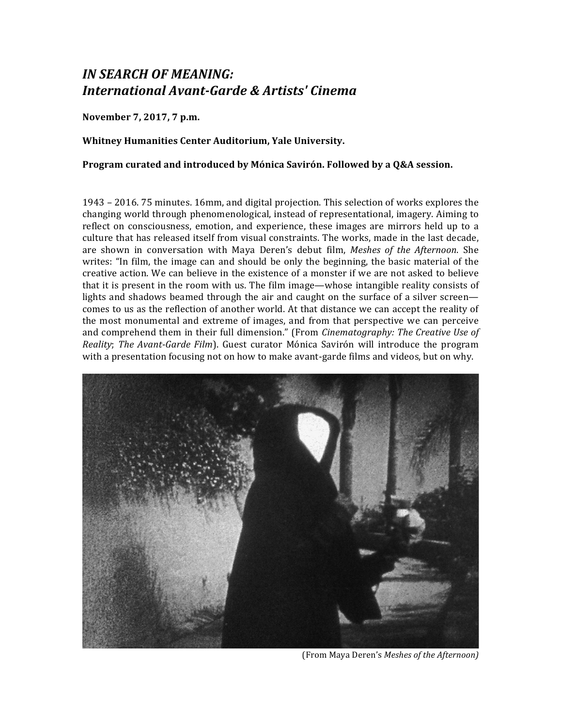# *IN SEARCH OF MEANING: International Avant-Garde & Artists' Cinema*

**November 7, 2017, 7 p.m.**

# **Whitney Humanities Center Auditorium, Yale University.**

## **Program curated and introduced by Mónica Savirón. Followed by a Q&A session.**

1943 – 2016. 75 minutes. 16mm, and digital projection. This selection of works explores the changing world through phenomenological, instead of representational, imagery. Aiming to reflect on consciousness, emotion, and experience, these images are mirrors held up to a culture that has released itself from visual constraints. The works, made in the last decade, are shown in conversation with Maya Deren's debut film, *Meshes of the Afternoon*. She writes: "In film, the image can and should be only the beginning, the basic material of the creative action. We can believe in the existence of a monster if we are not asked to believe that it is present in the room with us. The film image—whose intangible reality consists of lights and shadows beamed through the air and caught on the surface of a silver screen comes to us as the reflection of another world. At that distance we can accept the reality of the most monumental and extreme of images, and from that perspective we can perceive and comprehend them in their full dimension." (From *Cinematography: The Creative Use of Reality*; *The Avant-Garde Film*). Guest curator Mónica Savirón will introduce the program with a presentation focusing not on how to make avant-garde films and videos, but on why.



(From Maya Deren's *Meshes of the Afternoon)*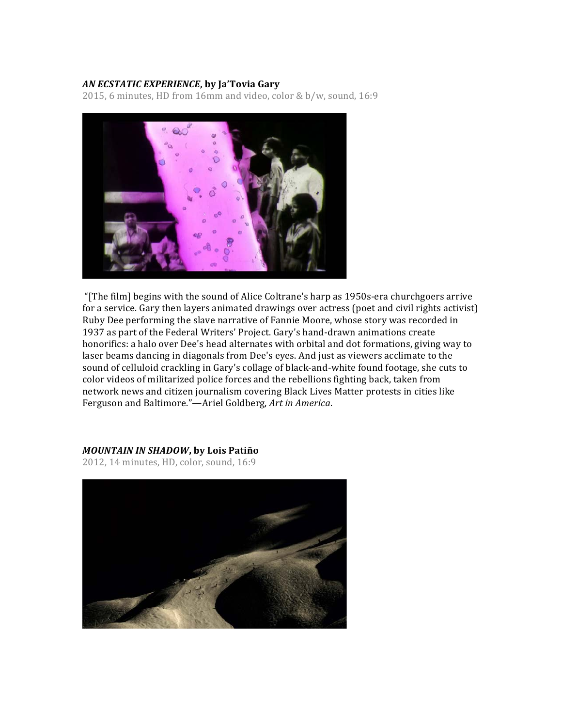# *AN ECSTATIC EXPERIENCE*, by Ja'Tovia Gary

2015, 6 minutes, HD from 16mm and video, color & b/w, sound, 16:9



"[The film] begins with the sound of Alice Coltrane's harp as 1950s-era churchgoers arrive for a service. Gary then layers animated drawings over actress (poet and civil rights activist) Ruby Dee performing the slave narrative of Fannie Moore, whose story was recorded in 1937 as part of the Federal Writers' Project. Gary's hand-drawn animations create honorifics: a halo over Dee's head alternates with orbital and dot formations, giving way to laser beams dancing in diagonals from Dee's eyes. And just as viewers acclimate to the sound of celluloid crackling in Gary's collage of black-and-white found footage, she cuts to color videos of militarized police forces and the rebellions fighting back, taken from network news and citizen journalism covering Black Lives Matter protests in cities like Ferguson and Baltimore."-Ariel Goldberg, Art in America.

## *MOUNTAIN IN SHADOW***, by Lois Patiño**

2012, 14 minutes, HD, color, sound, 16:9

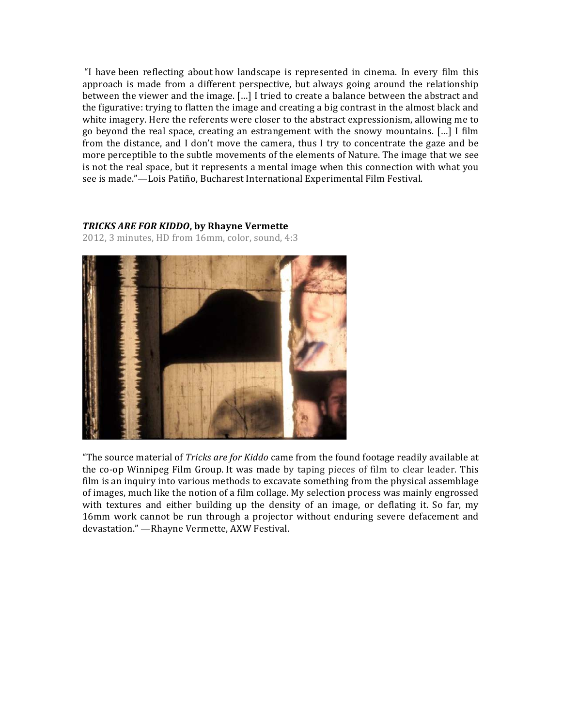"I have been reflecting about how landscape is represented in cinema. In every film this approach is made from a different perspective, but always going around the relationship between the viewer and the image. […] I tried to create a balance between the abstract and the figurative: trying to flatten the image and creating a big contrast in the almost black and white imagery. Here the referents were closer to the abstract expressionism, allowing me to go beyond the real space, creating an estrangement with the snowy mountains. […] I film from the distance, and I don't move the camera, thus I try to concentrate the gaze and be more perceptible to the subtle movements of the elements of Nature. The image that we see is not the real space, but it represents a mental image when this connection with what you see is made."—Lois Patiño, Bucharest International Experimental Film Festival.

## **TRICKS ARE FOR KIDDO, by Rhayne Vermette**

2012, 3 minutes, HD from 16mm, color, sound, 4:3



"The source material of *Tricks are for Kiddo* came from the found footage readily available at the co-op Winnipeg Film Group. It was made by taping pieces of film to clear leader. This film is an inquiry into various methods to excavate something from the physical assemblage of images, much like the notion of a film collage. My selection process was mainly engrossed with textures and either building up the density of an image, or deflating it. So far, my 16mm work cannot be run through a projector without enduring severe defacement and devastation." - Rhayne Vermette, AXW Festival.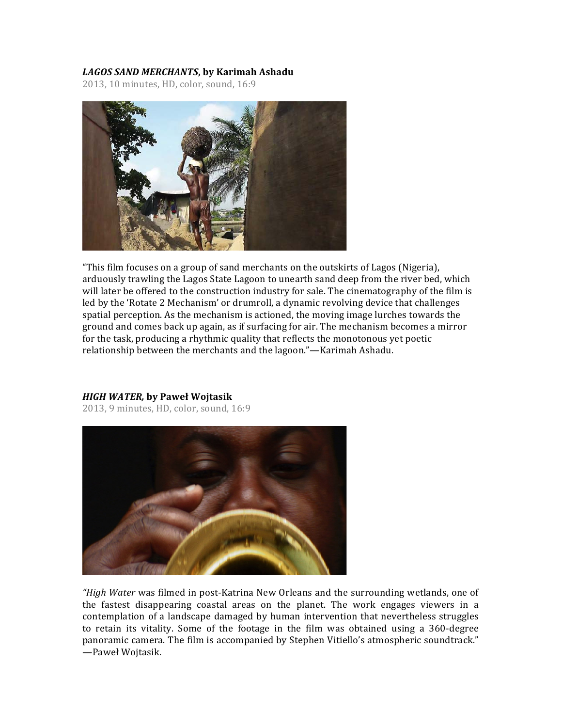# LAGOS SAND MERCHANTS, by Karimah Ashadu

2013, 10 minutes, HD, color, sound, 16:9



"This film focuses on a group of sand merchants on the outskirts of Lagos (Nigeria), arduously trawling the Lagos State Lagoon to unearth sand deep from the river bed, which will later be offered to the construction industry for sale. The cinematography of the film is led by the 'Rotate 2 Mechanism' or drumroll, a dynamic revolving device that challenges spatial perception. As the mechanism is actioned, the moving image lurches towards the ground and comes back up again, as if surfacing for air. The mechanism becomes a mirror for the task, producing a rhythmic quality that reflects the monotonous yet poetic relationship between the merchants and the lagoon."—Karimah Ashadu.

## *HIGH WATER,* **by Paweł Wojtasik**

2013, 9 minutes, HD, color, sound, 16:9



*"High Water* was filmed in post-Katrina New Orleans and the surrounding wetlands, one of the fastest disappearing coastal areas on the planet. The work engages viewers in a contemplation of a landscape damaged by human intervention that nevertheless struggles to retain its vitality. Some of the footage in the film was obtained using a 360-degree panoramic camera. The film is accompanied by Stephen Vitiello's atmospheric soundtrack." —Paweł Wojtasik.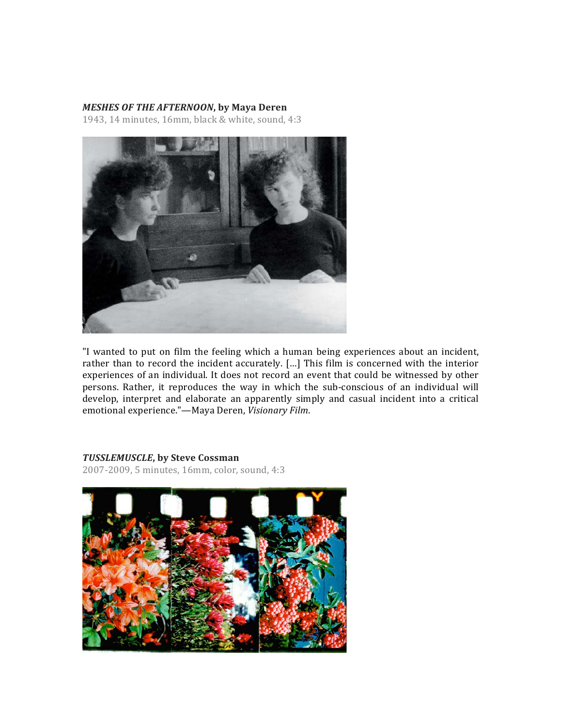#### *MESHES OF THE AFTERNOON*, by Maya Deren

1943, 14 minutes, 16mm, black & white, sound, 4:3



"I wanted to put on film the feeling which a human being experiences about an incident, rather than to record the incident accurately. [...] This film is concerned with the interior experiences of an individual. It does not record an event that could be witnessed by other persons. Rather, it reproduces the way in which the sub-conscious of an individual will develop, interpret and elaborate an apparently simply and casual incident into a critical emotional experience."—Maya Deren, Visionary Film.

#### *TUSSLEMUSCLE***, by Steve Cossman**

2007-2009, 5 minutes, 16mm, color, sound, 4:3

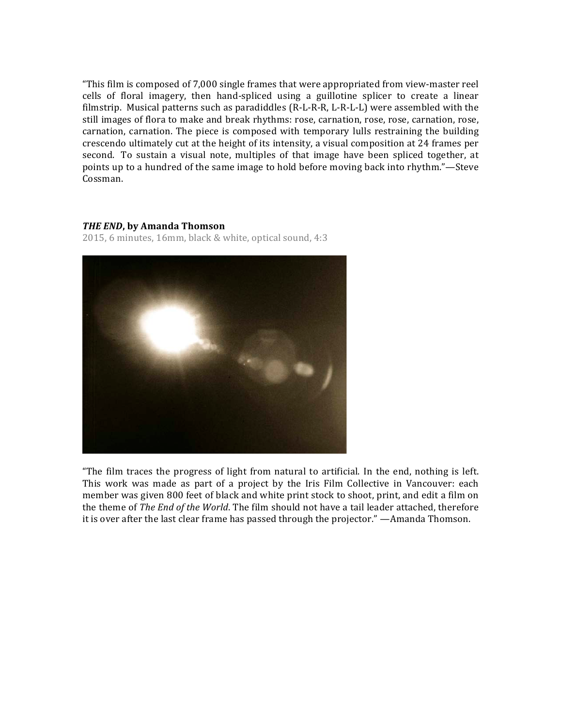"This film is composed of  $7,000$  single frames that were appropriated from view-master reel cells of floral imagery, then hand-spliced using a guillotine splicer to create a linear filmstrip. Musical patterns such as paradiddles  $(R-L-R-R, L-R-L)$  were assembled with the still images of flora to make and break rhythms: rose, carnation, rose, rose, carnation, rose, carnation, carnation. The piece is composed with temporary lulls restraining the building crescendo ultimately cut at the height of its intensity, a visual composition at 24 frames per second. To sustain a visual note, multiples of that image have been spliced together, at points up to a hundred of the same image to hold before moving back into rhythm."—Steve Cossman.

## *THE END*, by Amanda Thomson

2015, 6 minutes, 16mm, black & white, optical sound, 4:3



"The film traces the progress of light from natural to artificial. In the end, nothing is left. This work was made as part of a project by the Iris Film Collective in Vancouver: each member was given 800 feet of black and white print stock to shoot, print, and edit a film on the theme of *The End of the World*. The film should not have a tail leader attached, therefore it is over after the last clear frame has passed through the projector." —Amanda Thomson.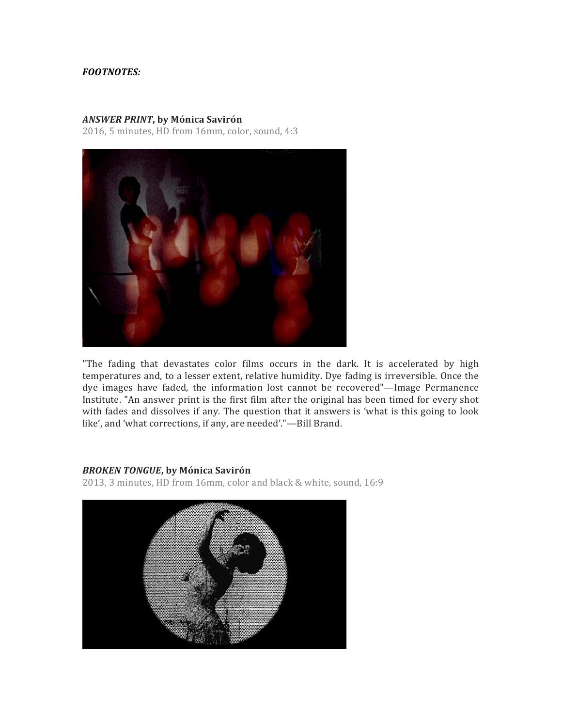# *FOOTNOTES:*

#### *ANSWER PRINT***, by Mónica Savirón**

2016, 5 minutes, HD from 16mm, color, sound, 4:3



"The fading that devastates color films occurs in the dark. It is accelerated by high temperatures and, to a lesser extent, relative humidity. Dye fading is irreversible. Once the dye images have faded, the information lost cannot be recovered"—Image Permanence Institute. "An answer print is the first film after the original has been timed for every shot with fades and dissolves if any. The question that it answers is 'what is this going to look like', and 'what corrections, if any, are needed'."-Bill Brand.

#### *BROKEN TONGUE***, by Mónica Savirón**

2013, 3 minutes, HD from 16mm, color and black & white, sound, 16:9